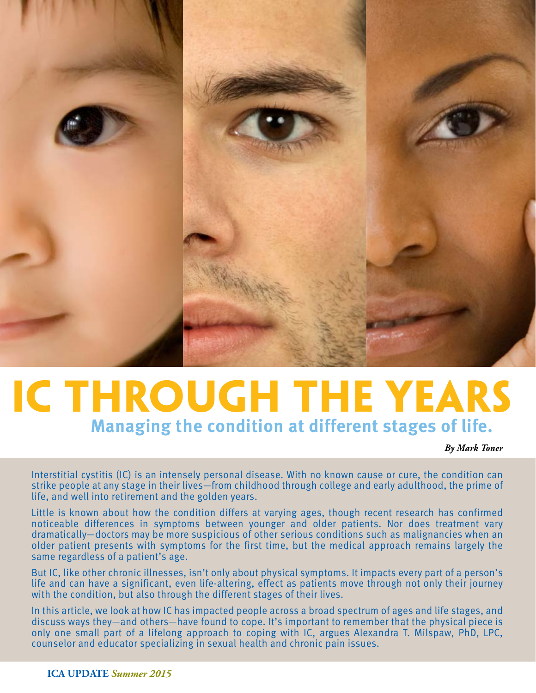

### **IC Through the Years Managing the condition at different stages of life.**

*By Mark Toner*

Interstitial cystitis (IC) is an intensely personal disease. With no known cause or cure, the condition can strike people at any stage in their lives—from childhood through college and early adulthood, the prime of life, and well into retirement and the golden years.

Little is known about how the condition differs at varying ages, though recent research has confirmed noticeable differences in symptoms between younger and older patients. Nor does treatment vary dramatically—doctors may be more suspicious of other serious conditions such as malignancies when an older patient presents with symptoms for the first time, but the medical approach remains largely the same regardless of a patient's age.

But IC, like other chronic illnesses, isn't only about physical symptoms. It impacts every part of a person's life and can have a significant, even life-altering, effect as patients move through not only their journey with the condition, but also through the different stages of their lives.

In this article, we look at how IC has impacted people across a broad spectrum of ages and life stages, and discuss ways they—and others—have found to cope. It's important to remember that the physical piece is only one small part of a lifelong approach to coping with IC, argues Alexandra T. Milspaw, PhD, LPC, counselor and educator specializing in sexual health and chronic pain issues.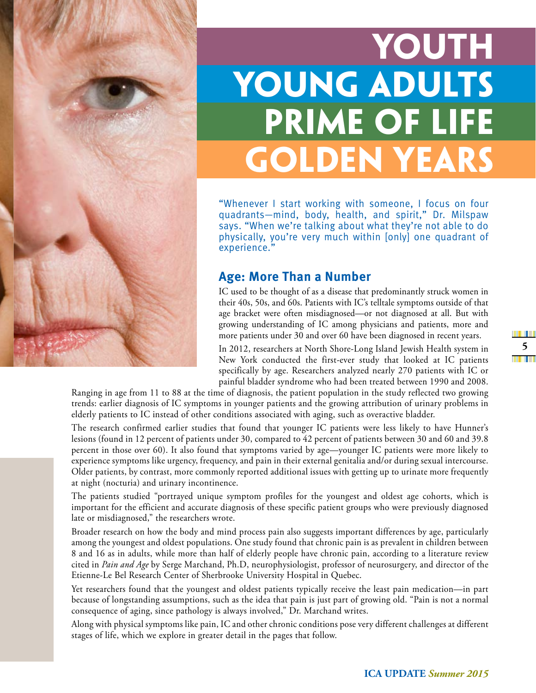

# **Young Adults Prime of Life Golden Years Youth**

"Whenever I start working with someone, I focus on four quadrants—mind, body, health, and spirit," Dr. Milspaw says. "When we're talking about what they're not able to do physically, you're very much within [only] one quadrant of experience."

#### **Age: More Than a Number**

IC used to be thought of as a disease that predominantly struck women in their 40s, 50s, and 60s. Patients with IC's telltale symptoms outside of that age bracket were often misdiagnosed—or not diagnosed at all. But with growing understanding of IC among physicians and patients, more and more patients under 30 and over 60 have been diagnosed in recent years.

In 2012, researchers at North Shore-Long Island Jewish Health system in New York conducted the first-ever study that looked at IC patients specifically by age. Researchers analyzed nearly 270 patients with IC or painful bladder syndrome who had been treated between 1990 and 2008.

Ranging in age from 11 to 88 at the time of diagnosis, the patient population in the study reflected two growing trends: earlier diagnosis of IC symptoms in younger patients and the growing attribution of urinary problems in elderly patients to IC instead of other conditions associated with aging, such as overactive bladder.

The research confirmed earlier studies that found that younger IC patients were less likely to have Hunner's lesions (found in 12 percent of patients under 30, compared to 42 percent of patients between 30 and 60 and 39.8 percent in those over 60). It also found that symptoms varied by age—younger IC patients were more likely to experience symptoms like urgency, frequency, and pain in their external genitalia and/or during sexual intercourse. Older patients, by contrast, more commonly reported additional issues with getting up to urinate more frequently at night (nocturia) and urinary incontinence.

The patients studied "portrayed unique symptom profiles for the youngest and oldest age cohorts, which is important for the efficient and accurate diagnosis of these specific patient groups who were previously diagnosed late or misdiagnosed," the researchers wrote.

Broader research on how the body and mind process pain also suggests important differences by age, particularly among the youngest and oldest populations. One study found that chronic pain is as prevalent in children between 8 and 16 as in adults, while more than half of elderly people have chronic pain, according to a literature review cited in *Pain and Age* by Serge Marchand, Ph.D, neurophysiologist, professor of neurosurgery, and director of the Etienne-Le Bel Research Center of Sherbrooke University Hospital in Quebec.

Yet researchers found that the youngest and oldest patients typically receive the least pain medication—in part because of longstanding assumptions, such as the idea that pain is just part of growing old. "Pain is not a normal consequence of aging, since pathology is always involved," Dr. Marchand writes.

Along with physical symptoms like pain, IC and other chronic conditions pose very different challenges at different stages of life, which we explore in greater detail in the pages that follow.

m n **5 THE TELE**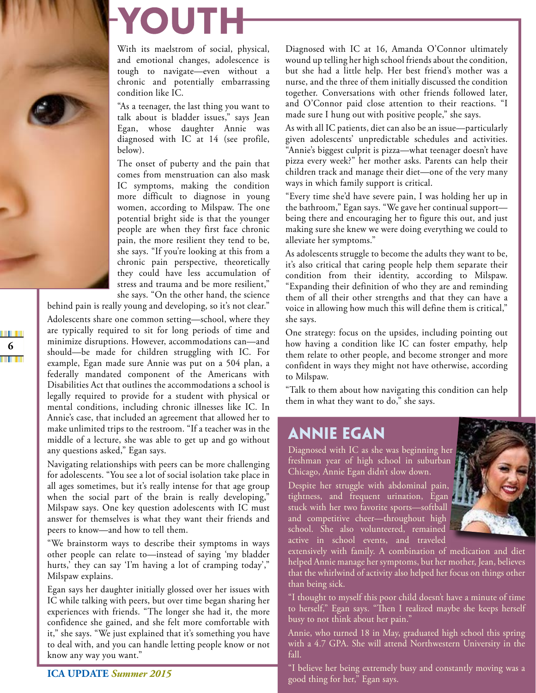# YOUTH

With its maelstrom of social, physical, and emotional changes, adolescence is tough to navigate-even without a chronic and potentially embarrassing condition like IC.

"As a teenager, the last thing you want to talk about is bladder issues," says Jean Egan, whose daughter Annie was diagnosed with IC at 14 (see profile, below).

The onset of puberty and the pain that comes from menstruation can also mask IC symptoms, making the condition more difficult to diagnose in young women, according to Milspaw. The one potential bright side is that the younger people are when they first face chronic pain, the more resilient they tend to be, she says. "If you're looking at this from a chronic pain perspective, theoretically they could have less accumulation of stress and trauma and be more resilient," she says. "On the other hand, the science

behind pain is really young and developing, so it's not clear." Adolescents share one common setting—school, where they are typically required to sit for long periods of time and minimize disruptions. However, accommodations can-and should—be made for children struggling with IC. For example, Egan made sure Annie was put on a 504 plan, a federally mandated component of the Americans with Disabilities Act that outlines the accommodations a school is legally required to provide for a student with physical or mental conditions, including chronic illnesses like IC. In Annie's case, that included an agreement that allowed her to make unlimited trips to the restroom. "If a teacher was in the middle of a lecture, she was able to get up and go without any questions asked," Egan says.

Navigating relationships with peers can be more challenging for adolescents. "You see a lot of social isolation take place in all ages sometimes, but it's really intense for that age group when the social part of the brain is really developing," Milspaw says. One key question adolescents with IC must answer for themselves is what they want their friends and peers to know—and how to tell them.

"We brainstorm ways to describe their symptoms in ways other people can relate to-instead of saying 'my bladder hurts,' they can say 'I'm having a lot of cramping today'," Milspaw explains.

Egan says her daughter initially glossed over her issues with IC while talking with peers, but over time began sharing her experiences with friends. "The longer she had it, the more confidence she gained, and she felt more comfortable with it," she says. "We just explained that it's something you have to deal with, and you can handle letting people know or not know any way you want."

Diagnosed with IC at 16, Amanda O'Connor ultimately wound up telling her high school friends about the condition, but she had a little help. Her best friend's mother was a nurse, and the three of them initially discussed the condition together. Conversations with other friends followed later, and O'Connor paid close attention to their reactions. "I made sure I hung out with positive people," she says.

As with all IC patients, diet can also be an issue—particularly given adolescents' unpredictable schedules and activities. "Annie's biggest culprit is pizza—what teenager doesn't have pizza every week?" her mother asks. Parents can help their children track and manage their diet-one of the very many ways in which family support is critical.

"Every time she'd have severe pain, I was holding her up in the bathroom," Egan says. "We gave her continual supportbeing there and encouraging her to figure this out, and just making sure she knew we were doing everything we could to alleviate her symptoms."

As adolescents struggle to become the adults they want to be, it's also critical that caring people help them separate their condition from their identity, according to Milspaw. "Expanding their definition of who they are and reminding them of all their other strengths and that they can have a voice in allowing how much this will define them is critical," she says.

One strategy: focus on the upsides, including pointing out how having a condition like IC can foster empathy, help them relate to other people, and become stronger and more confident in ways they might not have otherwise, according to Milspaw.

"Talk to them about how navigating this condition can help them in what they want to do," she says.

#### **ANNIE EGAN**

Diagnosed with IC as she was beginning her freshman year of high school in suburban Chicago, Annie Egan didn't slow down.

Despite her struggle with abdominal pain, tightness, and frequent urination, Egan stuck with her two favorite sports-softball and competitive cheer-throughout high school. She also volunteered, remained active in school events, and traveled



extensively with family. A combination of medication and diet helped Annie manage her symptoms, but her mother, Jean, believes that the whirlwind of activity also helped her focus on things other than being sick.

"I thought to myself this poor child doesn't have a minute of time to herself," Egan says. "Then I realized maybe she keeps herself busy to not think about her pain."

Annie, who turned 18 in May, graduated high school this spring with a 4.7 GPA. She will attend Northwestern University in the fall.

"I believe her being extremely busy and constantly moving was a good thing for her," Egan says.

T H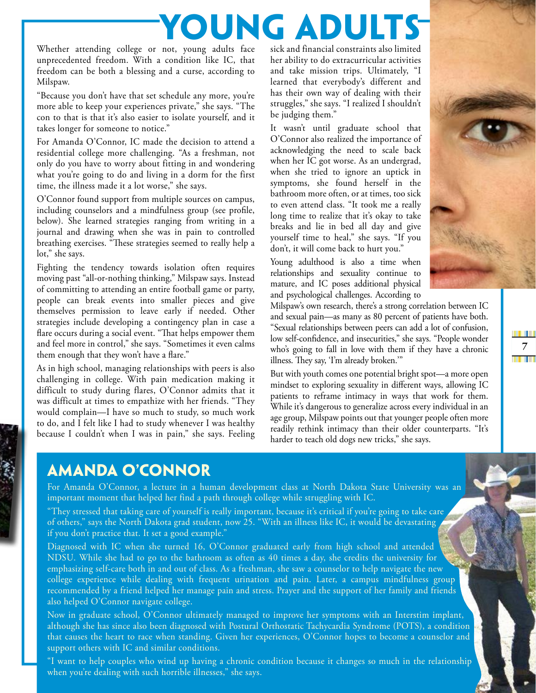# YOUNG ADUL

Whether attending college or not, young adults face unprecedented freedom. With a condition like IC, that freedom can be both a blessing and a curse, according to Milspaw.

"Because you don't have that set schedule any more, you're more able to keep your experiences private," she says. "The con to that is that it's also easier to isolate yourself, and it takes longer for someone to notice."

For Amanda O'Connor, IC made the decision to attend a residential college more challenging. "As a freshman, not only do you have to worry about fitting in and wondering what you're going to do and living in a dorm for the first time, the illness made it a lot worse," she says.

O'Connor found support from multiple sources on campus, including counselors and a mindfulness group (see profile, below). She learned strategies ranging from writing in a journal and drawing when she was in pain to controlled breathing exercises. "These strategies seemed to really help a lot," she says.

Fighting the tendency towards isolation often requires moving past "all-or-nothing thinking," Milspaw says. Instead of committing to attending an entire football game or party, people can break events into smaller pieces and give themselves permission to leave early if needed. Other strategies include developing a contingency plan in case a flare occurs during a social event. "That helps empower them and feel more in control," she says. "Sometimes it even calms them enough that they won't have a flare."

As in high school, managing relationships with peers is also challenging in college. With pain medication making it difficult to study during flares, O'Connor admits that it was difficult at times to empathize with her friends. "They would complain-I have so much to study, so much work to do, and I felt like I had to study whenever I was healthy because I couldn't when I was in pain," she says. Feeling sick and financial constraints also limited her ability to do extracurricular activities and take mission trips. Ultimately, "I learned that everybody's different and has their own way of dealing with their struggles," she says. "I realized I shouldn't be judging them."

It wasn't until graduate school that O'Connor also realized the importance of acknowledging the need to scale back when her IC got worse. As an undergrad, when she tried to ignore an uptick in symptoms, she found herself in the bathroom more often, or at times, too sick to even attend class. "It took me a really long time to realize that it's okay to take breaks and lie in bed all day and give yourself time to heal," she says. "If you don't, it will come back to hurt you."

Young adulthood is also a time when relationships and sexuality continue to mature, and IC poses additional physical and psychological challenges. According to

WHI

7

illi III

Milspaw's own research, there's a strong correlation between IC and sexual pain-as many as 80 percent of patients have both. "Sexual relationships between peers can add a lot of confusion, low self-confidence, and insecurities," she says. "People wonder who's going to fall in love with them if they have a chronic illness. They say, 'I'm already broken."

But with youth comes one potential bright spot—a more open mindset to exploring sexuality in different ways, allowing IC patients to reframe intimacy in ways that work for them. While it's dangerous to generalize across every individual in an age group, Milspaw points out that younger people often more readily rethink intimacy than their older counterparts. "It's harder to teach old dogs new tricks," she says.

### **AMANDA O'CONNOR**

For Amanda O'Connor, a lecture in a human development class at North Dakota State University was an important moment that helped her find a path through college while struggling with IC.

"They stressed that taking care of yourself is really important, because it's critical if you're going to take care of others," says the North Dakota grad student, now 25. "With an illness like IC, it would be devastating if you don't practice that. It set a good example."

Diagnosed with IC when she turned 16, O'Connor graduated early from high school and attended NDSU. While she had to go to the bathroom as often as 40 times a day, she credits the university for emphasizing self-care both in and out of class. As a freshman, she saw a counselor to help navigate the new college experience while dealing with frequent urination and pain. Later, a campus mindfulness group recommended by a friend helped her manage pain and stress. Prayer and the support of her family and friends also helped O'Connor navigate college.

Now in graduate school, O'Connor ultimately managed to improve her symptoms with an Interstim implant, although she has since also been diagnosed with Postural Orthostatic Tachycardia Syndrome (POTS), a condition that causes the heart to race when standing. Given her experiences, O'Connor hopes to become a counselor and support others with IC and similar conditions.

"I want to help couples who wind up having a chronic condition because it changes so much in the relationship when you're dealing with such horrible illnesses," she says.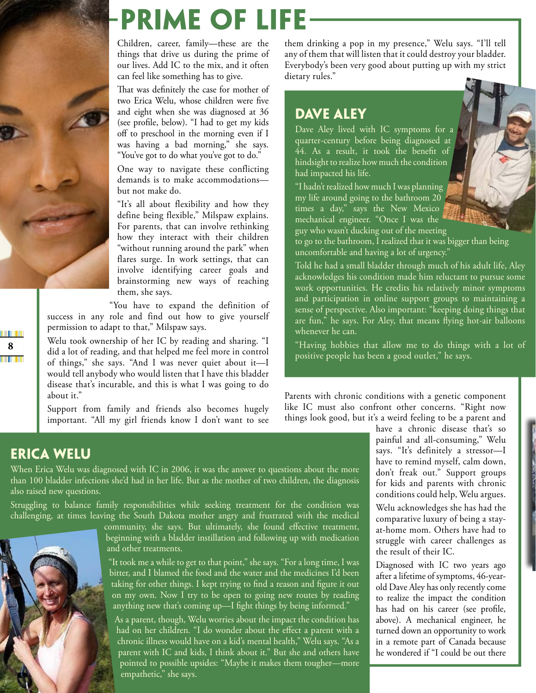

## **PRIME OF LIFE**

Children, career, family-these are the things that drive us during the prime of our lives. Add IC to the mix, and it often can feel like something has to give.

That was definitely the case for mother of two Erica Welu, whose children were five and eight when she was diagnosed at 36 (see profile, below). "I had to get my kids off to preschool in the morning even if I was having a bad morning," she says. "You've got to do what you've got to do."

One way to navigate these conflicting demands is to make accommodationsbut not make do

"It's all about flexibility and how they define being flexible," Milspaw explains. For parents, that can involve rethinking how they interact with their children "without running around the park" when flares surge. In work settings, that can involve identifying career goals and brainstorming new ways of reaching them, she says.

"You have to expand the definition of success in any role and find out how to give yourself permission to adapt to that," Milspaw says.

Welu took ownership of her IC by reading and sharing. "I did a lot of reading, and that helped me feel more in control of things," she says. "And I was never quiet about it-I would tell anybody who would listen that I have this bladder disease that's incurable, and this is what I was going to do about it."

Support from family and friends also becomes hugely important. "All my girl friends know I don't want to see them drinking a pop in my presence," Welu says. "I'll tell any of them that will listen that it could destroy your bladder. Everybody's been very good about putting up with my strict dietary rules."

#### **DAVE ALEY**

Dave Aley lived with IC symptoms for a quarter-century before being diagnosed at  $\overline{44}$ . As a result, it took the benefit of hindsight to realize how much the condition had impacted his life.

"I hadn't realized how much I was planning my life around going to the bathroom 20 times a day," says the New Mexico mechanical engineer. "Once I was the guy who wasn't ducking out of the meeting

to go to the bathroom, I realized that it was bigger than being uncomfortable and having a lot of urgency."

Told he had a small bladder through much of his adult life, Aley acknowledges his condition made him reluctant to pursue some work opportunities. He credits his relatively minor symptoms and participation in online support groups to maintaining a sense of perspective. Also important: "keeping doing things that are fun," he says. For Aley, that means flying hot-air balloons whenever he can.

"Having hobbies that allow me to do things with a lot of positive people has been a good outlet," he says.

Parents with chronic conditions with a genetic component like IC must also confront other concerns. "Right now things look good, but it's a weird feeling to be a parent and

> have a chronic disease that's so painful and all-consuming," Welu says. "It's definitely a stressor-I have to remind myself, calm down, don't freak out." Support groups for kids and parents with chronic conditions could help, Welu argues. Welu acknowledges she has had the comparative luxury of being a stayat-home mom. Others have had to struggle with career challenges as the result of their IC.

> Diagnosed with IC two years ago after a lifetime of symptoms, 46-yearold Dave Aley has only recently come to realize the impact the condition has had on his career (see profile, above). A mechanical engineer, he turned down an opportunity to work in a remote part of Canada because he wondered if "I could be out there

#### **ERICA WELU**

When Erica Welu was diagnosed with IC in 2006, it was the answer to questions about the more than 100 bladder infections she'd had in her life. But as the mother of two children, the diagnosis also raised new questions.

Struggling to balance family responsibilities while seeking treatment for the condition was challenging, at times leaving the South Dakota mother angry and frustrated with the medical



community, she says. But ultimately, she found effective treatment, beginning with a bladder instillation and following up with medication and other treatments.

"It took me a while to get to that point," she says. "For a long time, I was bitter, and I blamed the food and the water and the medicines I'd been taking for other things. I kept trying to find a reason and figure it out on my own. Now I try to be open to going new routes by reading anything new that's coming up-I fight things by being informed."

As a parent, though, Welu worries about the impact the condition has had on her children. "I do wonder about the effect a parent with a chronic illness would have on a kid's mental health," Welu says. "As a parent with IC and kids, I think about it." But she and others have pointed to possible upsides: "Maybe it makes them tougher-more empathetic," she says.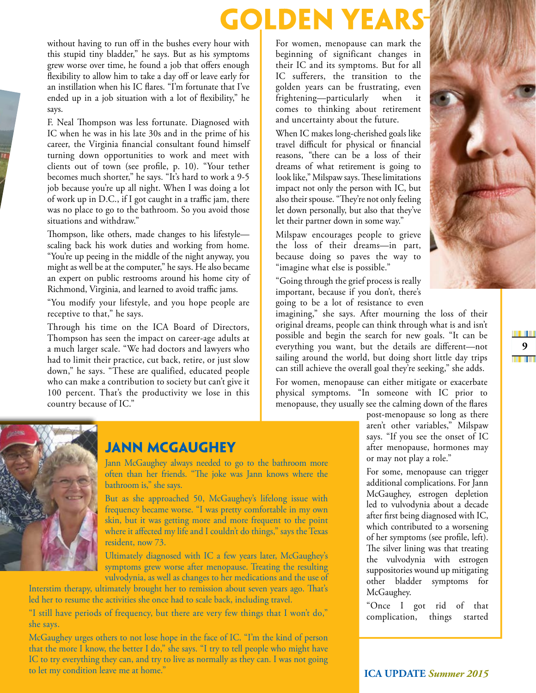## **GOLDEN YEA**

without having to run off in the bushes every hour with this stupid tiny bladder," he says. But as his symptoms grew worse over time, he found a job that offers enough flexibility to allow him to take a day off or leave early for an instillation when his IC flares. "I'm fortunate that I've ended up in a job situation with a lot of flexibility," he says.

F. Neal Thompson was less fortunate. Diagnosed with IC when he was in his late 30s and in the prime of his career, the Virginia financial consultant found himself turning down opportunities to work and meet with clients out of town (see profile, p. 10). "Your tether becomes much shorter," he says. "It's hard to work a 9-5 job because you're up all night. When I was doing a lot of work up in D.C., if I got caught in a traffic jam, there was no place to go to the bathroom. So you avoid those situations and withdraw."

Thompson, like others, made changes to his lifestylescaling back his work duties and working from home. "You're up peeing in the middle of the night anyway, you might as well be at the computer," he says. He also became an expert on public restrooms around his home city of Richmond, Virginia, and learned to avoid traffic jams.

"You modify your lifestyle, and you hope people are receptive to that," he says.

Through his time on the ICA Board of Directors, Thompson has seen the impact on career-age adults at a much larger scale. "We had doctors and lawyers who had to limit their practice, cut back, retire, or just slow down," he says. "These are qualified, educated people who can make a contribution to society but can't give it 100 percent. That's the productivity we lose in this country because of IC."

For women, menopause can mark the beginning of significant changes in their IC and its symptoms. But for all IC sufferers, the transition to the golden years can be frustrating, even frightening-particularly when it comes to thinking about retirement and uncertainty about the future.

When IC makes long-cherished goals like travel difficult for physical or financial reasons, "there can be a loss of their dreams of what retirement is going to look like," Milspaw says. These limitations impact not only the person with IC, but also their spouse. "They're not only feeling let down personally, but also that they've let their partner down in some way."

Milspaw encourages people to grieve the loss of their dreams-in part, because doing so paves the way to "imagine what else is possible."

"Going through the grief process is really important, because if you don't, there's going to be a lot of resistance to even

everything you want, but the details are different-not

sailing around the world, but doing short little day trips

can still achieve the overall goal they're seeking," she adds.

For women, menopause can either mitigate or exacerbate

physical symptoms. "In someone with IC prior to menopause, they usually see the calming down of the flares

imagining," she says. After mourning the loss of their original dreams, people can think through what is and isn't possible and begin the search for new goals. "It can be

m n

 $\boldsymbol{9}$ 

**THE TELE** 

#### **JANN MCGAUGHEY**

Jann McGaughey always needed to go to the bathroom more often than her friends. "The joke was Jann knows where the bathroom is," she says.

But as she approached 50, McGaughey's lifelong issue with frequency became worse. "I was pretty comfortable in my own skin, but it was getting more and more frequent to the point where it affected my life and I couldn't do things," says the Texas resident, now 73.

Ultimately diagnosed with IC a few years later, McGaughey's symptoms grew worse after menopause. Treating the resulting vulvodynia, as well as changes to her medications and the use of

Interstim therapy, ultimately brought her to remission about seven years ago. That's led her to resume the activities she once had to scale back, including travel.

"I still have periods of frequency, but there are very few things that I won't do," she says.

McGaughey urges others to not lose hope in the face of IC. "I'm the kind of person that the more I know, the better I do," she says. "I try to tell people who might have IC to try everything they can, and try to live as normally as they can. I was not going to let my condition leave me at home."

post-menopause so long as there aren't other variables," Milspaw says. "If you see the onset of IC after menopause, hormones may or may not play a role."

For some, menopause can trigger additional complications. For Jann McGaughey, estrogen depletion led to vulvodynia about a decade after first being diagnosed with IC, which contributed to a worsening of her symptoms (see profile, left). The silver lining was that treating the vulvodynia with estrogen suppositories wound up mitigating other bladder symptoms for McGaughey.

"Once I got rid of that complication, things started

**ICA UPDATE Summer 2015**